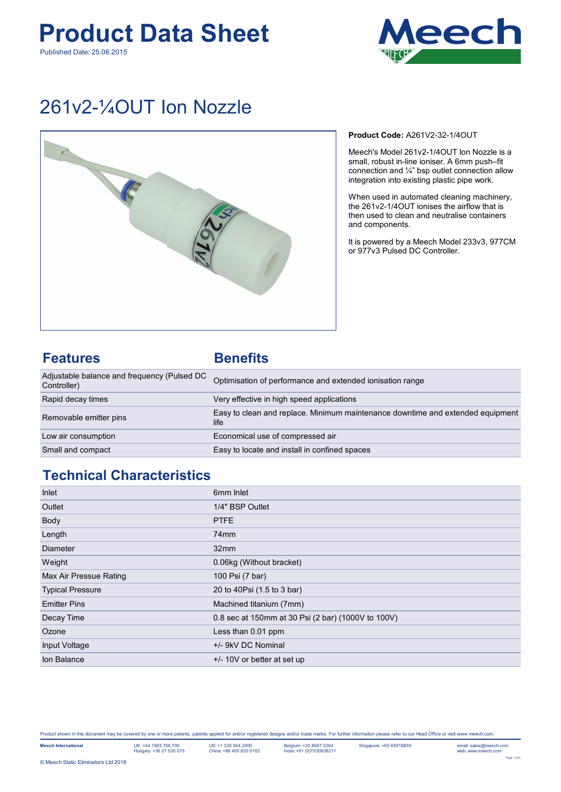### **Product Data Sheet** Published Date: 25.06.2015



## 261v2-¼OUT Ion Nozzle



**Product Code:** A261V2-32-1/4OUT

Meech's Model 261v2-1/4OUT Ion Nozzle is a small, robust in-line ioniser. A 6mm push–fit connection and ¼" bsp outlet connection allow integration into existing plastic pipe work.

When used in automated cleaning machinery, the 261v2-1/4OUT ionises the airflow that is then used to clean and neutralise containers and components.

It is powered by a Meech Model 233v3, 977CM or 977v3 Pulsed DC Controller.

### **Features Benefits**

| Adjustable balance and frequency (Pulsed DC<br>Controller) | Optimisation of performance and extended ionisation range                              |
|------------------------------------------------------------|----------------------------------------------------------------------------------------|
| Rapid decay times                                          | Very effective in high speed applications                                              |
| Removable emitter pins                                     | Easy to clean and replace. Minimum maintenance downtime and extended equipment<br>life |
| Low air consumption                                        | Economical use of compressed air                                                       |
| Small and compact                                          | Easy to locate and install in confined spaces                                          |

### **Technical Characteristics**

| Inlet                   | 6 <sub>mm</sub> Inlet                              |
|-------------------------|----------------------------------------------------|
| Outlet                  | 1/4" BSP Outlet                                    |
| Body                    | <b>PTFE</b>                                        |
| Length                  | 74 <sub>mm</sub>                                   |
| <b>Diameter</b>         | 32 <sub>mm</sub>                                   |
| Weight                  | 0.06kg (Without bracket)                           |
| Max Air Pressue Rating  | 100 Psi (7 bar)                                    |
| <b>Typical Pressure</b> | 20 to 40Psi (1.5 to 3 bar)                         |
| <b>Emitter Pins</b>     | Machined titanium (7mm)                            |
| Decay Time              | 0.8 sec at 150mm at 30 Psi (2 bar) (1000V to 100V) |
| Ozone                   | Less than 0.01 ppm                                 |
| Input Voltage           | +/- 9kV DC Nominal                                 |
| Ion Balance             | $+/- 10V$ or better at set up                      |

Product shown in this document may be covered by one or more patents, patents applied for and/or registered designs and/or trade marks. For further information please refer to our Head Office or visit www.meech.com.